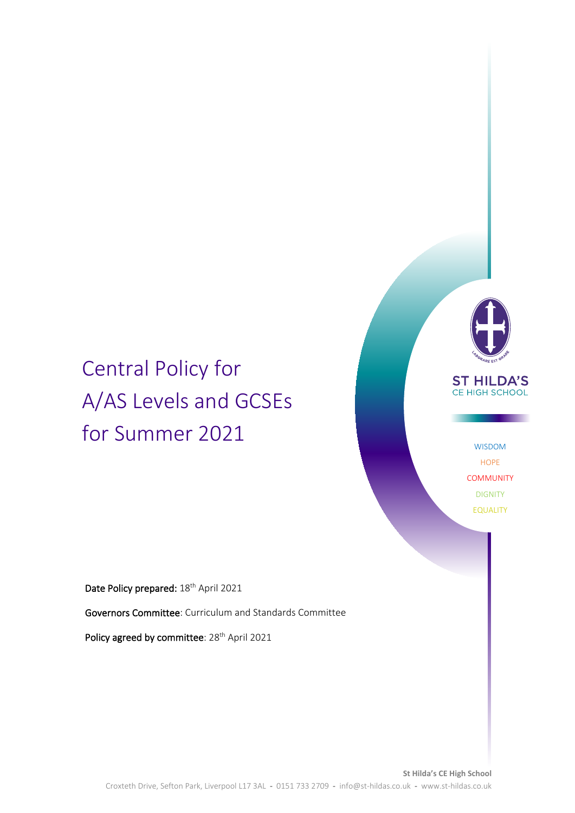# Central Policy for A/AS Levels and GCSEs for Summer 2021



### **ST HILDA'S** CE HIGH SCHOOL

WISDOM HOPE **COMMUNITY** DIGNITY EQUALITY

Date Policy prepared: 18<sup>th</sup> April 2021

Governors Committee: Curriculum and Standards Committee

Policy agreed by committee: 28<sup>th</sup> April 2021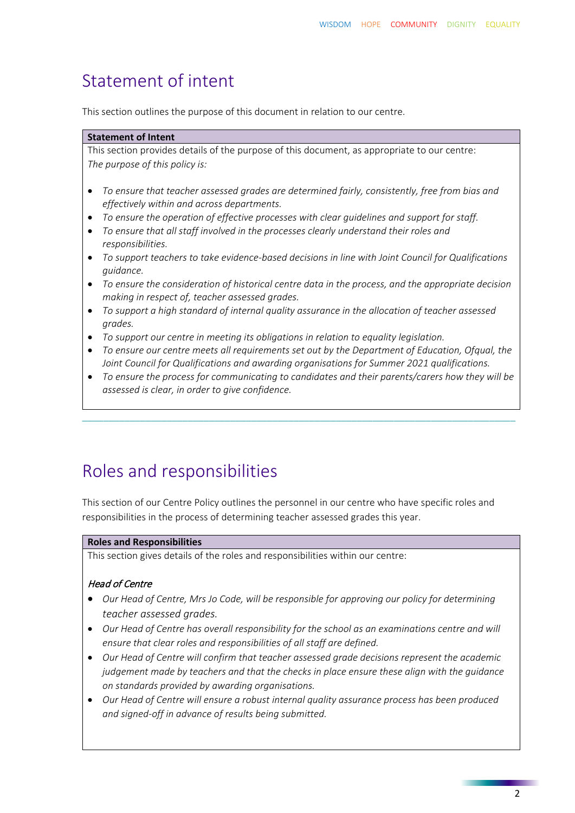### Statement of intent

This section outlines the purpose of this document in relation to our centre.

#### **Statement of Intent**

This section provides details of the purpose of this document, as appropriate to our centre: *The purpose of this policy is:*

- *To ensure that teacher assessed grades are determined fairly, consistently, free from bias and effectively within and across departments.*
- *To ensure the operation of effective processes with clear guidelines and support for staff.*
- *To ensure that all staff involved in the processes clearly understand their roles and responsibilities.*
- *To support teachers to take evidence-based decisions in line with Joint Council for Qualifications guidance.*
- *To ensure the consideration of historical centre data in the process, and the appropriate decision making in respect of, teacher assessed grades.*
- *To support a high standard of internal quality assurance in the allocation of teacher assessed grades.*
- *To support our centre in meeting its obligations in relation to equality legislation.*
- *To ensure our centre meets all requirements set out by the Department of Education, Ofqual, the Joint Council for Qualifications and awarding organisations for Summer 2021 qualifications.*
- *To ensure the process for communicating to candidates and their parents/carers how they will be assessed is clear, in order to give confidence.*

\_\_\_\_\_\_\_\_\_\_\_\_\_\_\_\_\_\_\_\_\_\_\_\_\_\_\_\_\_\_\_\_\_\_\_\_\_\_\_\_\_\_\_\_\_\_\_\_\_\_\_\_\_\_\_\_\_\_\_\_\_\_\_\_\_\_\_\_\_\_\_\_\_\_\_\_\_\_\_\_\_\_

## Roles and responsibilities

This section of our Centre Policy outlines the personnel in our centre who have specific roles and responsibilities in the process of determining teacher assessed grades this year.

#### **Roles and Responsibilities**

This section gives details of the roles and responsibilities within our centre:

#### Head of Centre

- *Our Head of Centre, Mrs Jo Code, will be responsible for approving our policy for determining teacher assessed grades.*
- *Our Head of Centre has overall responsibility for the school as an examinations centre and will ensure that clear roles and responsibilities of all staff are defined.*
- *Our Head of Centre will confirm that teacher assessed grade decisions represent the academic judgement made by teachers and that the checks in place ensure these align with the guidance on standards provided by awarding organisations.*
- *Our Head of Centre will ensure a robust internal quality assurance process has been produced and signed-off in advance of results being submitted.*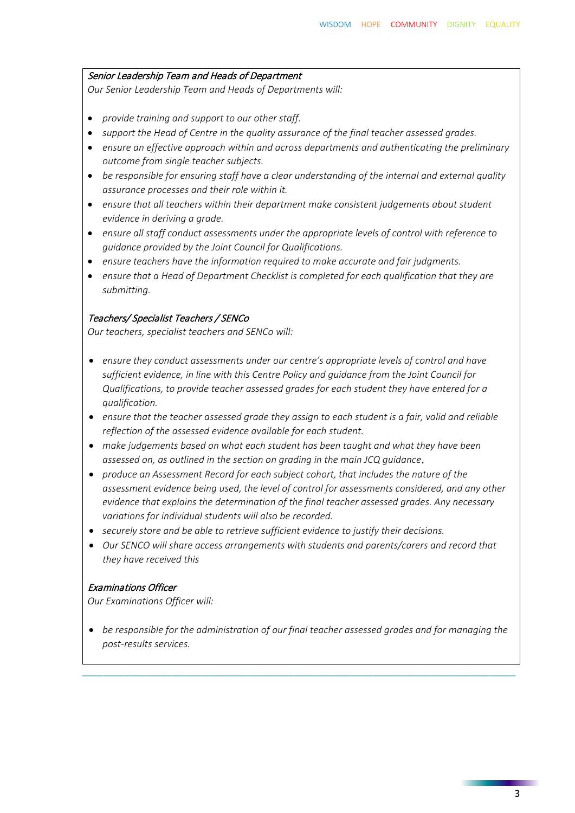#### Senior Leadership Team and Heads of Department

*Our Senior Leadership Team and Heads of Departments will:*

- *provide training and support to our other staff.*
- *support the Head of Centre in the quality assurance of the final teacher assessed grades.*
- *ensure an effective approach within and across departments and authenticating the preliminary outcome from single teacher subjects.*
- *be responsible for ensuring staff have a clear understanding of the internal and external quality assurance processes and their role within it.*
- *ensure that all teachers within their department make consistent judgements about student evidence in deriving a grade.*
- *ensure all staff conduct assessments under the appropriate levels of control with reference to guidance provided by the Joint Council for Qualifications.*
- *ensure teachers have the information required to make accurate and fair judgments.*
- *ensure that a Head of Department Checklist is completed for each qualification that they are submitting.*

#### Teachers/ Specialist Teachers / SENCo

*Our teachers, specialist teachers and SENCo will:*

- *ensure they conduct assessments under our centre's appropriate levels of control and have sufficient evidence, in line with this Centre Policy and guidance from the Joint Council for Qualifications, to provide teacher assessed grades for each student they have entered for a qualification.*
- *ensure that the teacher assessed grade they assign to each student is a fair, valid and reliable reflection of the assessed evidence available for each student.*
- *make judgements based on what each student has been taught and what they have been assessed on, as outlined in the section on grading in the main JCQ guidance*.
- *produce an Assessment Record for each subject cohort, that includes the nature of the assessment evidence being used, the level of control for assessments considered, and any other evidence that explains the determination of the final teacher assessed grades. Any necessary variations for individual students will also be recorded.*
- *securely store and be able to retrieve sufficient evidence to justify their decisions.*
- *Our SENCO will share access arrangements with students and parents/carers and record that they have received this*

#### Examinations Officer

*Our Examinations Officer will:*

• *be responsible for the administration of our final teacher assessed grades and for managing the post-results services.*

\_\_\_\_\_\_\_\_\_\_\_\_\_\_\_\_\_\_\_\_\_\_\_\_\_\_\_\_\_\_\_\_\_\_\_\_\_\_\_\_\_\_\_\_\_\_\_\_\_\_\_\_\_\_\_\_\_\_\_\_\_\_\_\_\_\_\_\_\_\_\_\_\_\_\_\_\_\_\_\_\_\_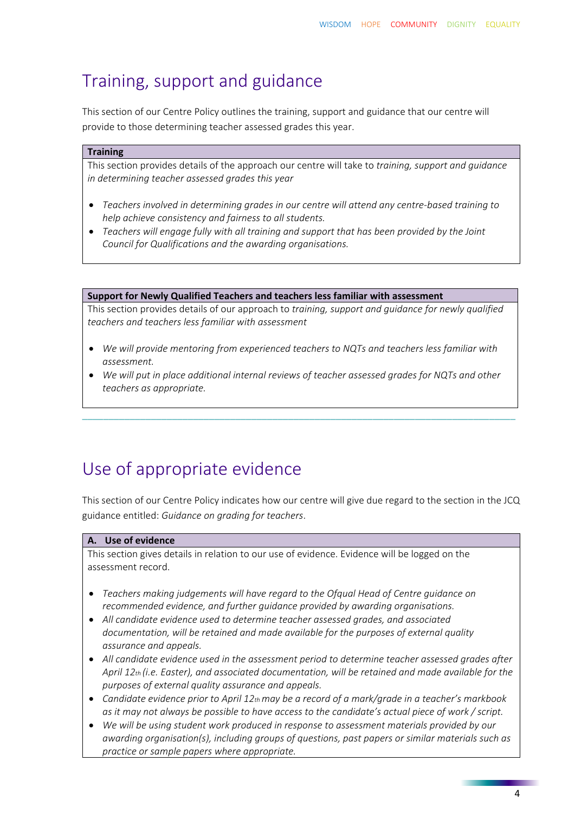## Training, support and guidance

This section of our Centre Policy outlines the training, support and guidance that our centre will provide to those determining teacher assessed grades this year.

#### **Training**

This section provides details of the approach our centre will take to *training, support and guidance in determining teacher assessed grades this year*

- *Teachers involved in determining grades in our centre will attend any centre-based training to help achieve consistency and fairness to all students.*
- *Teachers will engage fully with all training and support that has been provided by the Joint Council for Qualifications and the awarding organisations.*

**Support for Newly Qualified Teachers and teachers less familiar with assessment** 

This section provides details of our approach to *training, support and guidance for newly qualified teachers and teachers less familiar with assessment*

- *We will provide mentoring from experienced teachers to NQTs and teachers less familiar with assessment.*
- *We will put in place additional internal reviews of teacher assessed grades for NQTs and other teachers as appropriate.*

\_\_\_\_\_\_\_\_\_\_\_\_\_\_\_\_\_\_\_\_\_\_\_\_\_\_\_\_\_\_\_\_\_\_\_\_\_\_\_\_\_\_\_\_\_\_\_\_\_\_\_\_\_\_\_\_\_\_\_\_\_\_\_\_\_\_\_\_\_\_\_\_\_\_\_\_\_\_\_\_\_\_

## Use of appropriate evidence

This section of our Centre Policy indicates how our centre will give due regard to the section in the JCQ guidance entitled: *Guidance on grading for teachers*.

#### **A. Use of evidence**

This section gives details in relation to our use of evidence. Evidence will be logged on the assessment record.

- *Teachers making judgements will have regard to the Ofqual Head of Centre guidance on recommended evidence, and further guidance provided by awarding organisations.*
- *All candidate evidence used to determine teacher assessed grades, and associated documentation, will be retained and made available for the purposes of external quality assurance and appeals.*
- *All candidate evidence used in the assessment period to determine teacher assessed grades after April 12th (i.e. Easter), and associated documentation, will be retained and made available for the purposes of external quality assurance and appeals.*
- *Candidate evidence prior to April 12th may be a record of a mark/grade in a teacher's markbook as it may not always be possible to have access to the candidate's actual piece of work / script.*
- *We will be using student work produced in response to assessment materials provided by our awarding organisation(s), including groups of questions, past papers or similar materials such as practice or sample papers where appropriate.*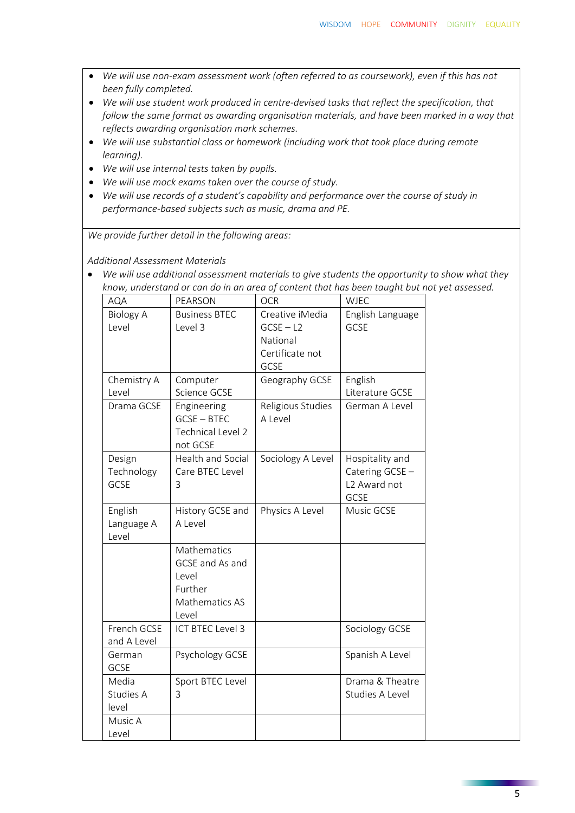- *We will use non-exam assessment work (often referred to as coursework), even if this has not been fully completed.*
- *We will use student work produced in centre-devised tasks that reflect the specification, that follow the same format as awarding organisation materials, and have been marked in a way that reflects awarding organisation mark schemes.*
- *We will use substantial class or homework (including work that took place during remote learning).*
- *We will use internal tests taken by pupils.*
- *We will use mock exams taken over the course of study.*
- *We will use records of a student's capability and performance over the course of study in performance-based subjects such as music, drama and PE.*

*We provide further detail in the following areas:*

*Additional Assessment Materials*

• *We will use additional assessment materials to give students the opportunity to show what they know, understand or can do in an area of content that has been taught but not yet assessed.*

| AQA              | PEARSON                 | <b>OCR</b>        | <b>WJEC</b>              |
|------------------|-------------------------|-------------------|--------------------------|
| <b>Biology A</b> | <b>Business BTEC</b>    | Creative iMedia   | English Language         |
| Level            | Level 3                 | $GCSE - L2$       | GCSE                     |
|                  |                         | National          |                          |
|                  |                         | Certificate not   |                          |
|                  |                         | GCSE              |                          |
| Chemistry A      | Computer                | Geography GCSE    | English                  |
| Level            | Science GCSE            |                   | Literature GCSE          |
| Drama GCSE       | Engineering             | Religious Studies | German A Level           |
|                  | <b>GCSE-BTEC</b>        | A Level           |                          |
|                  | Technical Level 2       |                   |                          |
|                  | not GCSE                |                   |                          |
| Design           | Health and Social       | Sociology A Level | Hospitality and          |
| Technology       | Care BTEC Level         |                   | Catering GCSE -          |
| GCSE             | 3                       |                   | L <sub>2</sub> Award not |
|                  |                         |                   | GCSE                     |
| English          | History GCSE and        | Physics A Level   | Music GCSE               |
| Language A       | A Level                 |                   |                          |
| Level            |                         |                   |                          |
|                  | Mathematics             |                   |                          |
|                  | GCSE and As and         |                   |                          |
|                  | Level                   |                   |                          |
|                  | Further                 |                   |                          |
|                  | Mathematics AS          |                   |                          |
|                  | Level                   |                   |                          |
| French GCSE      | <b>ICT BTEC Level 3</b> |                   | Sociology GCSE           |
| and A Level      |                         |                   |                          |
| German           | Psychology GCSE         |                   | Spanish A Level          |
| GCSE             |                         |                   |                          |
| Media            | Sport BTEC Level        |                   | Drama & Theatre          |
| Studies A        | 3                       |                   | Studies A Level          |
| level            |                         |                   |                          |
| Music A          |                         |                   |                          |
| Level            |                         |                   |                          |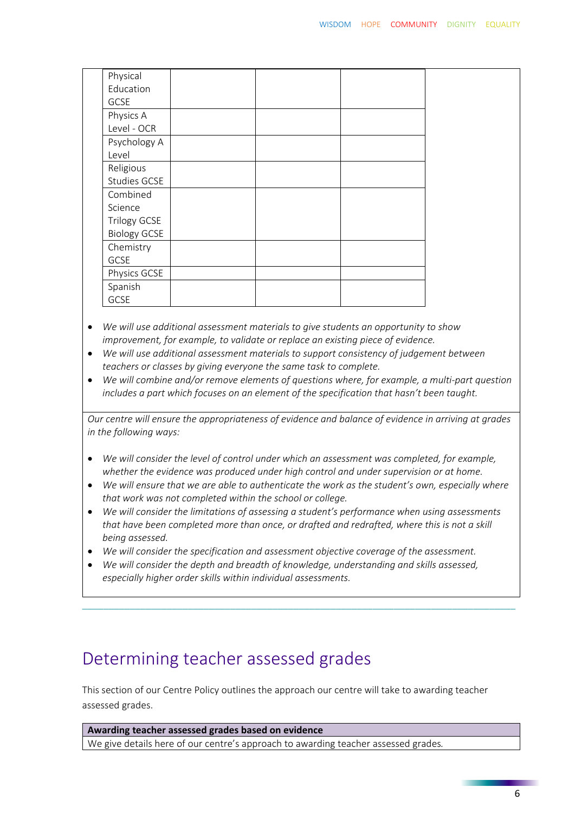| Physical            |  |  |
|---------------------|--|--|
| Education           |  |  |
| GCSE                |  |  |
| Physics A           |  |  |
| Level - OCR         |  |  |
| Psychology A        |  |  |
| Level               |  |  |
| Religious           |  |  |
| Studies GCSE        |  |  |
| Combined            |  |  |
| Science             |  |  |
| <b>Trilogy GCSE</b> |  |  |
| <b>Biology GCSE</b> |  |  |
| Chemistry           |  |  |
| GCSE                |  |  |
| Physics GCSE        |  |  |
| Spanish             |  |  |
| GCSE                |  |  |
|                     |  |  |

- *We will use additional assessment materials to give students an opportunity to show improvement, for example, to validate or replace an existing piece of evidence.*
- *We will use additional assessment materials to support consistency of judgement between teachers or classes by giving everyone the same task to complete.*
- *We will combine and/or remove elements of questions where, for example, a multi-part question includes a part which focuses on an element of the specification that hasn't been taught.*

*Our centre will ensure the appropriateness of evidence and balance of evidence in arriving at grades in the following ways:*

- *We will consider the level of control under which an assessment was completed, for example, whether the evidence was produced under high control and under supervision or at home.*
- *We will ensure that we are able to authenticate the work as the student's own, especially where that work was not completed within the school or college.*
- *We will consider the limitations of assessing a student's performance when using assessments that have been completed more than once, or drafted and redrafted, where this is not a skill being assessed.*

\_\_\_\_\_\_\_\_\_\_\_\_\_\_\_\_\_\_\_\_\_\_\_\_\_\_\_\_\_\_\_\_\_\_\_\_\_\_\_\_\_\_\_\_\_\_\_\_\_\_\_\_\_\_\_\_\_\_\_\_\_\_\_\_\_\_\_\_\_\_\_\_\_\_\_\_\_\_\_\_\_\_

- *We will consider the specification and assessment objective coverage of the assessment.*
- *We will consider the depth and breadth of knowledge, understanding and skills assessed, especially higher order skills within individual assessments.*

## Determining teacher assessed grades

This section of our Centre Policy outlines the approach our centre will take to awarding teacher assessed grades.

**Awarding teacher assessed grades based on evidence** We give details here of our centre's approach to awarding teacher assessed grades*.*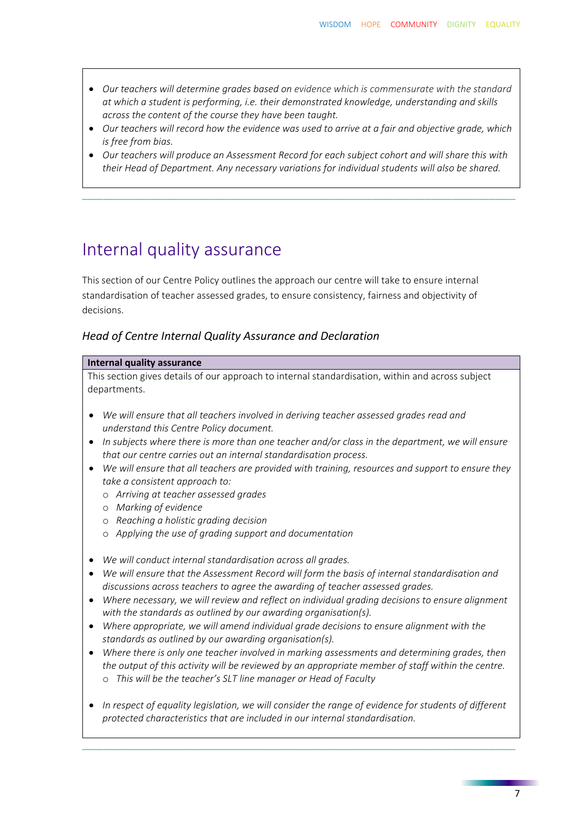- *Our teachers will determine grades based on evidence which is commensurate with the standard at which a student is performing, i.e. their demonstrated knowledge, understanding and skills across the content of the course they have been taught.*
- *Our teachers will record how the evidence was used to arrive at a fair and objective grade, which is free from bias.*
- *Our teachers will produce an Assessment Record for each subject cohort and will share this with their Head of Department. Any necessary variations for individual students will also be shared.*

\_\_\_\_\_\_\_\_\_\_\_\_\_\_\_\_\_\_\_\_\_\_\_\_\_\_\_\_\_\_\_\_\_\_\_\_\_\_\_\_\_\_\_\_\_\_\_\_\_\_\_\_\_\_\_\_\_\_\_\_\_\_\_\_\_\_\_\_\_\_\_\_\_\_\_\_\_\_\_\_\_\_

## Internal quality assurance

This section of our Centre Policy outlines the approach our centre will take to ensure internal standardisation of teacher assessed grades, to ensure consistency, fairness and objectivity of decisions.

#### *Head of Centre Internal Quality Assurance and Declaration*

#### **Internal quality assurance**

This section gives details of our approach to internal standardisation, within and across subject departments.

- *We will ensure that all teachers involved in deriving teacher assessed grades read and understand this Centre Policy document.*
- *In subjects where there is more than one teacher and/or class in the department, we will ensure that our centre carries out an internal standardisation process.*
- *We will ensure that all teachers are provided with training, resources and support to ensure they take a consistent approach to:*
	- o *Arriving at teacher assessed grades*
	- o *Marking of evidence*
	- o *Reaching a holistic grading decision*
	- o *Applying the use of grading support and documentation*
- *We will conduct internal standardisation across all grades.*
- *We will ensure that the Assessment Record will form the basis of internal standardisation and discussions across teachers to agree the awarding of teacher assessed grades.*
- *Where necessary, we will review and reflect on individual grading decisions to ensure alignment with the standards as outlined by our awarding organisation(s).*
- *Where appropriate, we will amend individual grade decisions to ensure alignment with the standards as outlined by our awarding organisation(s).*
- *Where there is only one teacher involved in marking assessments and determining grades, then the output of this activity will be reviewed by an appropriate member of staff within the centre.* o *This will be the teacher's SLT line manager or Head of Faculty*
- *In respect of equality legislation, we will consider the range of evidence for students of different protected characteristics that are included in our internal standardisation.*

\_\_\_\_\_\_\_\_\_\_\_\_\_\_\_\_\_\_\_\_\_\_\_\_\_\_\_\_\_\_\_\_\_\_\_\_\_\_\_\_\_\_\_\_\_\_\_\_\_\_\_\_\_\_\_\_\_\_\_\_\_\_\_\_\_\_\_\_\_\_\_\_\_\_\_\_\_\_\_\_\_\_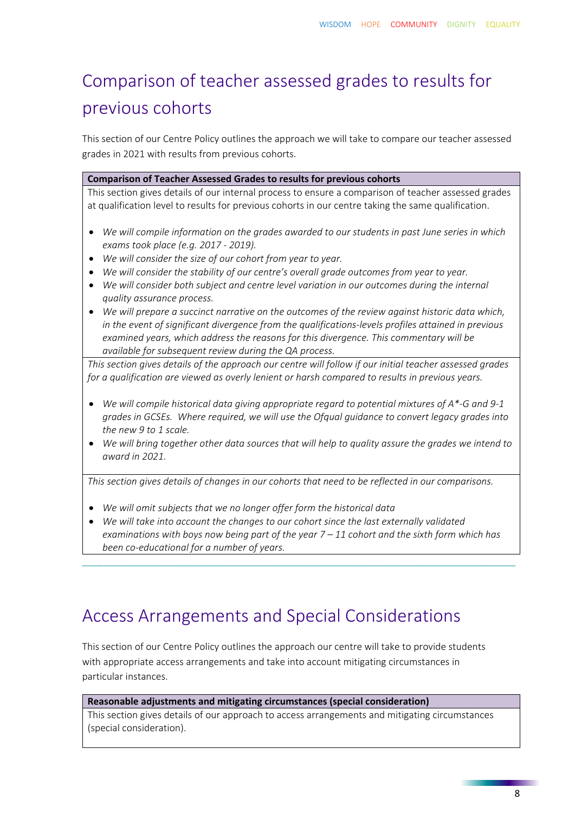## Comparison of teacher assessed grades to results for previous cohorts

This section of our Centre Policy outlines the approach we will take to compare our teacher assessed grades in 2021 with results from previous cohorts.

#### **Comparison of Teacher Assessed Grades to results for previous cohorts**

This section gives details of our internal process to ensure a comparison of teacher assessed grades at qualification level to results for previous cohorts in our centre taking the same qualification.

- *We will compile information on the grades awarded to our students in past June series in which exams took place (e.g. 2017 - 2019).*
- *We will consider the size of our cohort from year to year.*
- *We will consider the stability of our centre's overall grade outcomes from year to year.*
- *We will consider both subject and centre level variation in our outcomes during the internal quality assurance process.*
- *We will prepare a succinct narrative on the outcomes of the review against historic data which, in the event of significant divergence from the qualifications-levels profiles attained in previous examined years, which address the reasons for this divergence. This commentary will be available for subsequent review during the QA process.*

*This section gives details of the approach our centre will follow if our initial teacher assessed grades for a qualification are viewed as overly lenient or harsh compared to results in previous years.*

- *We will compile historical data giving appropriate regard to potential mixtures of A\*-G and 9-1 grades in GCSEs. Where required, we will use the Ofqual guidance to convert legacy grades into the new 9 to 1 scale.*
- *We will bring together other data sources that will help to quality assure the grades we intend to award in 2021.*

*This section gives details of changes in our cohorts that need to be reflected in our comparisons.* 

- *We will omit subjects that we no longer offer form the historical data*
- *We will take into account the changes to our cohort since the last externally validated examinations with boys now being part of the year 7 – 11 cohort and the sixth form which has been co-educational for a number of years.*

\_\_\_\_\_\_\_\_\_\_\_\_\_\_\_\_\_\_\_\_\_\_\_\_\_\_\_\_\_\_\_\_\_\_\_\_\_\_\_\_\_\_\_\_\_\_\_\_\_\_\_\_\_\_\_\_\_\_\_\_\_\_\_\_\_\_\_\_\_\_\_\_\_\_\_\_\_\_\_\_\_\_

## Access Arrangements and Special Considerations

This section of our Centre Policy outlines the approach our centre will take to provide students with appropriate access arrangements and take into account mitigating circumstances in particular instances.

#### **Reasonable adjustments and mitigating circumstances (special consideration)**

This section gives details of our approach to access arrangements and mitigating circumstances (special consideration).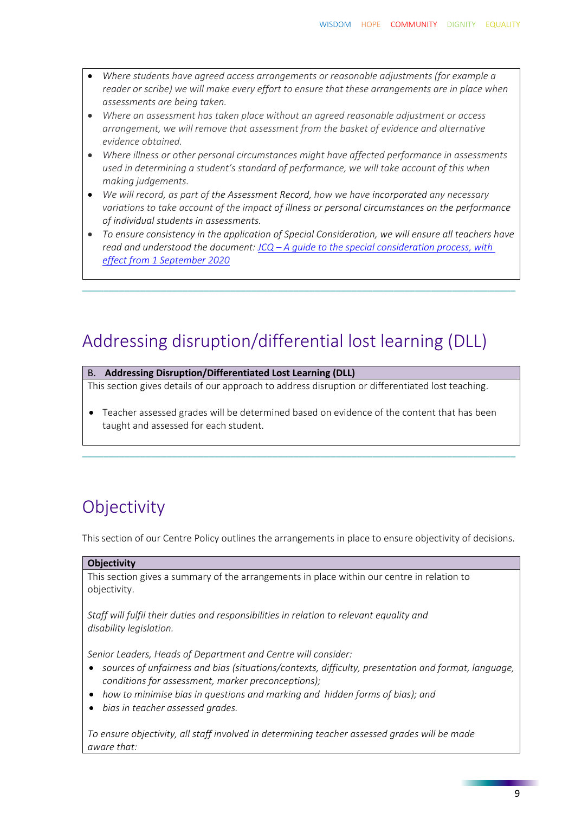- *Where students have agreed access arrangements or reasonable adjustments (for example a reader or scribe) we will make every effort to ensure that these arrangements are in place when assessments are being taken.*
- *Where an assessment has taken place without an agreed reasonable adjustment or access arrangement, we will remove that assessment from the basket of evidence and alternative evidence obtained.*
- *Where illness or other personal circumstances might have affected performance in assessments used in determining a student's standard of performance, we will take account of this when making judgements.*
- *We will record, as part of the Assessment Record, how we have incorporated any necessary variations to take account of the impact of illness or personal circumstances on the performance of individual students in assessments.*
- *To ensure consistency in the application of Special Consideration, we will ensure all teachers have read and understood the document: JCQ – [A guide to the special consideration process, with](https://www.jcq.org.uk/wp-content/uploads/2020/08/A-guide-to-the-spec-con-process-202021-Website-version.pdf)  [effect from 1 September 2020](https://www.jcq.org.uk/wp-content/uploads/2020/08/A-guide-to-the-spec-con-process-202021-Website-version.pdf)*

\_\_\_\_\_\_\_\_\_\_\_\_\_\_\_\_\_\_\_\_\_\_\_\_\_\_\_\_\_\_\_\_\_\_\_\_\_\_\_\_\_\_\_\_\_\_\_\_\_\_\_\_\_\_\_\_\_\_\_\_\_\_\_\_\_\_\_\_\_\_\_\_\_\_\_\_\_\_\_\_\_\_

## Addressing disruption/differential lost learning (DLL)

#### B. **Addressing Disruption/Differentiated Lost Learning (DLL)**

This section gives details of our approach to address disruption or differentiated lost teaching.

• Teacher assessed grades will be determined based on evidence of the content that has been taught and assessed for each student.

\_\_\_\_\_\_\_\_\_\_\_\_\_\_\_\_\_\_\_\_\_\_\_\_\_\_\_\_\_\_\_\_\_\_\_\_\_\_\_\_\_\_\_\_\_\_\_\_\_\_\_\_\_\_\_\_\_\_\_\_\_\_\_\_\_\_\_\_\_\_\_\_\_\_\_\_\_\_\_\_\_\_

## **Objectivity**

This section of our Centre Policy outlines the arrangements in place to ensure objectivity of decisions.

#### **Objectivity**

This section gives a summary of the arrangements in place within our centre in relation to objectivity.

*Staff will fulfil their duties and responsibilities in relation to relevant equality and disability legislation.*

*Senior Leaders, Heads of Department and Centre will consider:*

- *sources of unfairness and bias (situations/contexts, difficulty, presentation and format, language, conditions for assessment, marker preconceptions);*
- *how to minimise bias in questions and marking and hidden forms of bias); and*
- *bias in teacher assessed grades.*

*To ensure objectivity, all staff involved in determining teacher assessed grades will be made aware that:*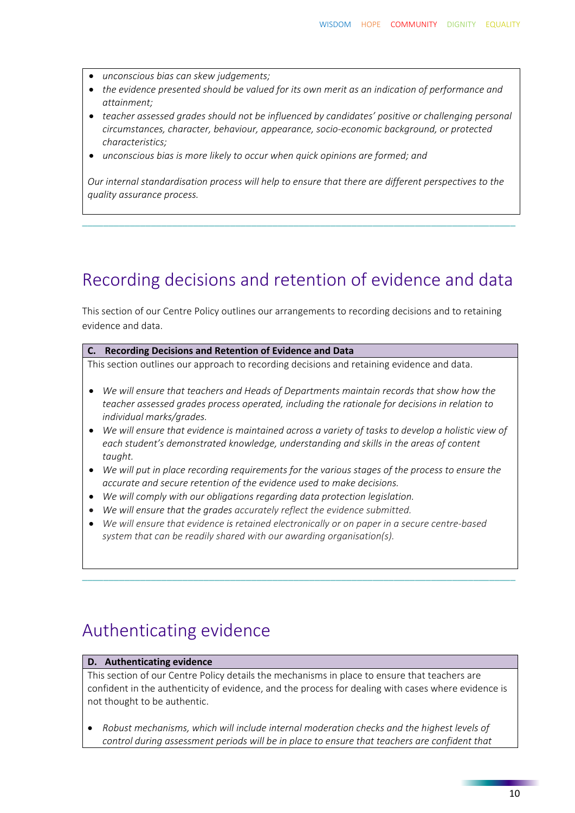- *unconscious bias can skew judgements;*
- *the evidence presented should be valued for its own merit as an indication of performance and attainment;*
- *teacher assessed grades should not be influenced by candidates' positive or challenging personal circumstances, character, behaviour, appearance, socio-economic background, or protected characteristics;*
- *unconscious bias is more likely to occur when quick opinions are formed; and*

*Our internal standardisation process will help to ensure that there are different perspectives to the quality assurance process.* 

\_\_\_\_\_\_\_\_\_\_\_\_\_\_\_\_\_\_\_\_\_\_\_\_\_\_\_\_\_\_\_\_\_\_\_\_\_\_\_\_\_\_\_\_\_\_\_\_\_\_\_\_\_\_\_\_\_\_\_\_\_\_\_\_\_\_\_\_\_\_\_\_\_\_\_\_\_\_\_\_\_\_

## Recording decisions and retention of evidence and data

This section of our Centre Policy outlines our arrangements to recording decisions and to retaining evidence and data.

#### **C. Recording Decisions and Retention of Evidence and Data**

This section outlines our approach to recording decisions and retaining evidence and data.

- *We will ensure that teachers and Heads of Departments maintain records that show how the teacher assessed grades process operated, including the rationale for decisions in relation to individual marks/grades.*
- *We will ensure that evidence is maintained across a variety of tasks to develop a holistic view of each student's demonstrated knowledge, understanding and skills in the areas of content taught.*
- *We will put in place recording requirements for the various stages of the process to ensure the accurate and secure retention of the evidence used to make decisions.*
- *We will comply with our obligations regarding data protection legislation.*
- *We will ensure that the grades accurately reflect the evidence submitted.*
- *We will ensure that evidence is retained electronically or on paper in a secure centre-based system that can be readily shared with our awarding organisation(s).*

\_\_\_\_\_\_\_\_\_\_\_\_\_\_\_\_\_\_\_\_\_\_\_\_\_\_\_\_\_\_\_\_\_\_\_\_\_\_\_\_\_\_\_\_\_\_\_\_\_\_\_\_\_\_\_\_\_\_\_\_\_\_\_\_\_\_\_\_\_\_\_\_\_\_\_\_\_\_\_\_\_\_

### Authenticating evidence

#### **D. Authenticating evidence**

This section of our Centre Policy details the mechanisms in place to ensure that teachers are confident in the authenticity of evidence, and the process for dealing with cases where evidence is not thought to be authentic.

• *Robust mechanisms, which will include internal moderation checks and the highest levels of control during assessment periods will be in place to ensure that teachers are confident that*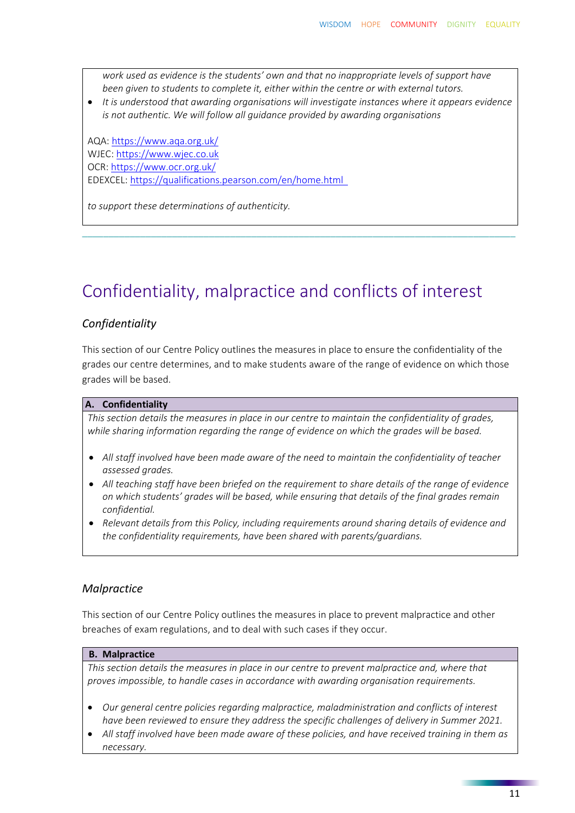*work used as evidence is the students' own and that no inappropriate levels of support have been given to students to complete it, either within the centre or with external tutors.*

• *It is understood that awarding organisations will investigate instances where it appears evidence is not authentic. We will follow all guidance provided by awarding organisations*

AQA:<https://www.aqa.org.uk/> WJEC: [https://www.wjec.co.uk](https://www.wjec.co.uk/) OCR:<https://www.ocr.org.uk/> EDEXCEL:<https://qualifications.pearson.com/en/home.html>

*to support these determinations of authenticity.*

## Confidentiality, malpractice and conflicts of interest

\_\_\_\_\_\_\_\_\_\_\_\_\_\_\_\_\_\_\_\_\_\_\_\_\_\_\_\_\_\_\_\_\_\_\_\_\_\_\_\_\_\_\_\_\_\_\_\_\_\_\_\_\_\_\_\_\_\_\_\_\_\_\_\_\_\_\_\_\_\_\_\_\_\_\_\_\_\_\_\_\_\_

#### *Confidentiality*

This section of our Centre Policy outlines the measures in place to ensure the confidentiality of the grades our centre determines, and to make students aware of the range of evidence on which those grades will be based.

#### **A. Confidentiality**

*This section details the measures in place in our centre to maintain the confidentiality of grades, while sharing information regarding the range of evidence on which the grades will be based.* 

- *All staff involved have been made aware of the need to maintain the confidentiality of teacher assessed grades.*
- *All teaching staff have been briefed on the requirement to share details of the range of evidence on which students' grades will be based, while ensuring that details of the final grades remain confidential.*
- *Relevant details from this Policy, including requirements around sharing details of evidence and the confidentiality requirements, have been shared with parents/guardians.*

#### *Malpractice*

This section of our Centre Policy outlines the measures in place to prevent malpractice and other breaches of exam regulations, and to deal with such cases if they occur.

#### **B. Malpractice**

*This section details the measures in place in our centre to prevent malpractice and, where that proves impossible, to handle cases in accordance with awarding organisation requirements.*

- *Our general centre policies regarding malpractice, maladministration and conflicts of interest have been reviewed to ensure they address the specific challenges of delivery in Summer 2021.*
- *All staff involved have been made aware of these policies, and have received training in them as necessary.*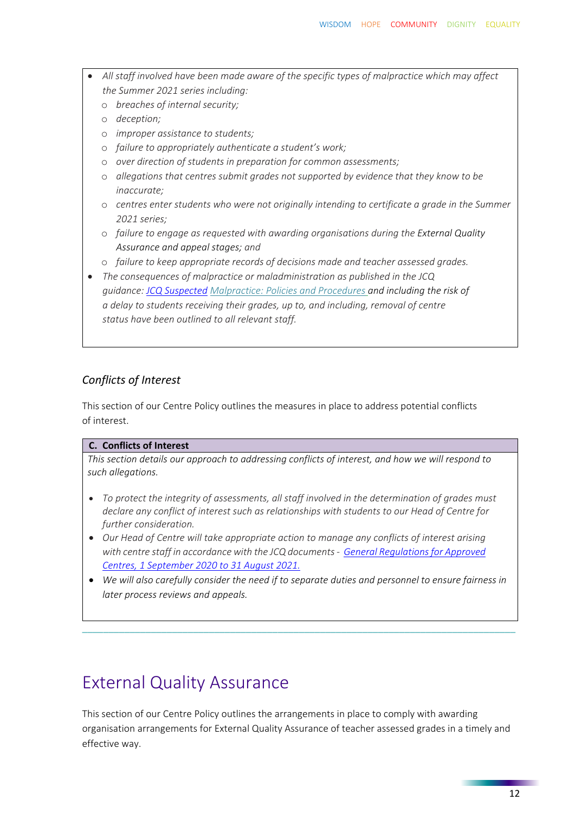- *All staff involved have been made aware of the specific types of malpractice which may affect the Summer 2021 series including:*
	- o *breaches of internal security;*
	- o *deception;*
	- o *improper assistance to students;*
	- o *failure to appropriately authenticate a student's work;*
	- o *over direction of students in preparation for common assessments;*
	- o *allegations that centres submit grades not supported by evidence that they know to be inaccurate;*
	- o *centres enter students who were not originally intending to certificate a grade in the Summer 2021 series;*
	- o *failure to engage as requested with awarding organisations during the External Quality Assurance and appeal stages; and*
	- o *failure to keep appropriate records of decisions made and teacher assessed grades.*
- *The consequences of malpractice or maladministration as published in the JCQ guidance: [JCQ Suspected](https://www.jcq.org.uk/exams-office/malpractice/jcq-suspected-malpractice-policies-and-procedures-2019-2020) Malpractice: Policies and Procedures and including the risk of a delay to students receiving their grades, up to, and including, removal of centre status have been outlined to all relevant staff.*

#### *Conflicts of Interest*

This section of our Centre Policy outlines the measures in place to address potential conflicts of interest.

#### **C. Conflicts of Interest**

*This section details our approach to addressing conflicts of interest, and how we will respond to such allegations.* 

- *To protect the integrity of assessments, all staff involved in the determination of grades must declare any conflict of interest such as relationships with students to our Head of Centre for further consideration.*
- *Our Head of Centre will take appropriate action to manage any conflicts of interest arising with centre staff in accordance with the JCQ documents - [General Regulations for Approved](https://www.jcq.org.uk/wp-content/uploads/2020/09/Gen_regs_approved_centres_20-21_FINAL.pdf)  [Centres, 1 September 2020 to 31 August 2021.](https://www.jcq.org.uk/wp-content/uploads/2020/09/Gen_regs_approved_centres_20-21_FINAL.pdf)*
- *We will also carefully consider the need if to separate duties and personnel to ensure fairness in later process reviews and appeals.*

\_\_\_\_\_\_\_\_\_\_\_\_\_\_\_\_\_\_\_\_\_\_\_\_\_\_\_\_\_\_\_\_\_\_\_\_\_\_\_\_\_\_\_\_\_\_\_\_\_\_\_\_\_\_\_\_\_\_\_\_\_\_\_\_\_\_\_\_\_\_\_\_\_\_\_\_\_\_\_\_\_\_

## External Quality Assurance

This section of our Centre Policy outlines the arrangements in place to comply with awarding organisation arrangements for External Quality Assurance of teacher assessed grades in a timely and effective way.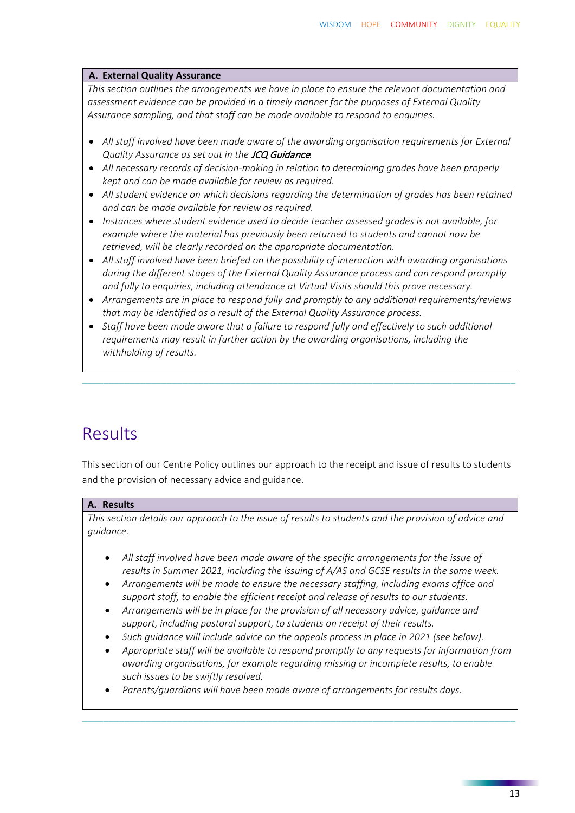#### **A. External Quality Assurance**

*This section outlines the arrangements we have in place to ensure the relevant documentation and assessment evidence can be provided in a timely manner for the purposes of External Quality Assurance sampling, and that staff can be made available to respond to enquiries.* 

- *All staff involved have been made aware of the awarding organisation requirements for External Quality Assurance as set out in the* JCQ Guidance*.*
- *All necessary records of decision-making in relation to determining grades have been properly kept and can be made available for review as required.*
- *All student evidence on which decisions regarding the determination of grades has been retained and can be made available for review as required.*
- *Instances where student evidence used to decide teacher assessed grades is not available, for example where the material has previously been returned to students and cannot now be retrieved, will be clearly recorded on the appropriate documentation.*
- *All staff involved have been briefed on the possibility of interaction with awarding organisations during the different stages of the External Quality Assurance process and can respond promptly and fully to enquiries, including attendance at Virtual Visits should this prove necessary.*
- *Arrangements are in place to respond fully and promptly to any additional requirements/reviews that may be identified as a result of the External Quality Assurance process.*
- *Staff have been made aware that a failure to respond fully and effectively to such additional requirements may result in further action by the awarding organisations, including the withholding of results.*

\_\_\_\_\_\_\_\_\_\_\_\_\_\_\_\_\_\_\_\_\_\_\_\_\_\_\_\_\_\_\_\_\_\_\_\_\_\_\_\_\_\_\_\_\_\_\_\_\_\_\_\_\_\_\_\_\_\_\_\_\_\_\_\_\_\_\_\_\_\_\_\_\_\_\_\_\_\_\_\_\_\_

## Results

This section of our Centre Policy outlines our approach to the receipt and issue of results to students and the provision of necessary advice and guidance.

#### **A. Results**

*This section details our approach to the issue of results to students and the provision of advice and guidance.* 

- *All staff involved have been made aware of the specific arrangements for the issue of results in Summer 2021, including the issuing of A/AS and GCSE results in the same week.*
- *Arrangements will be made to ensure the necessary staffing, including exams office and support staff, to enable the efficient receipt and release of results to our students.*
- *Arrangements will be in place for the provision of all necessary advice, guidance and support, including pastoral support, to students on receipt of their results.*
- *Such guidance will include advice on the appeals process in place in 2021 (see below).*
- *Appropriate staff will be available to respond promptly to any requests for information from awarding organisations, for example regarding missing or incomplete results, to enable such issues to be swiftly resolved.*

\_\_\_\_\_\_\_\_\_\_\_\_\_\_\_\_\_\_\_\_\_\_\_\_\_\_\_\_\_\_\_\_\_\_\_\_\_\_\_\_\_\_\_\_\_\_\_\_\_\_\_\_\_\_\_\_\_\_\_\_\_\_\_\_\_\_\_\_\_\_\_\_\_\_\_\_\_\_\_\_\_\_

• *Parents/guardians will have been made aware of arrangements for results days.*